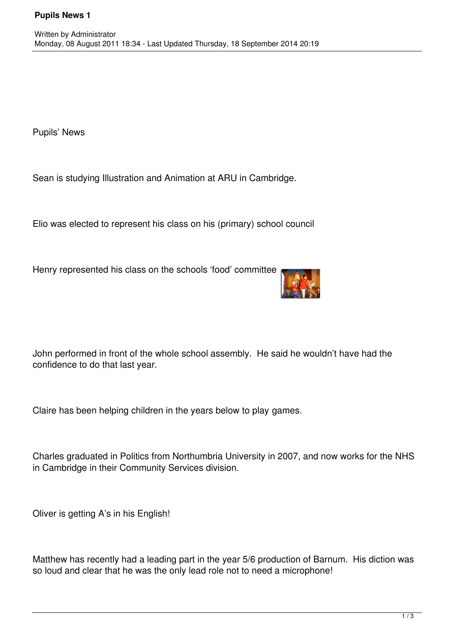Pupils' News

Sean is studying Illustration and Animation at ARU in Cambridge.

Elio was elected to represent his class on his (primary) school council

Henry represented his class on the schools 'food' committee



John performed in front of the whole school assembly. He said he wouldn't have had the confidence to do that last year.

Claire has been helping children in the years below to play games.

Charles graduated in Politics from Northumbria University in 2007, and now works for the NHS in Cambridge in their Community Services division.

Oliver is getting A's in his English!

Matthew has recently had a leading part in the year 5/6 production of Barnum. His diction was so loud and clear that he was the only lead role not to need a microphone!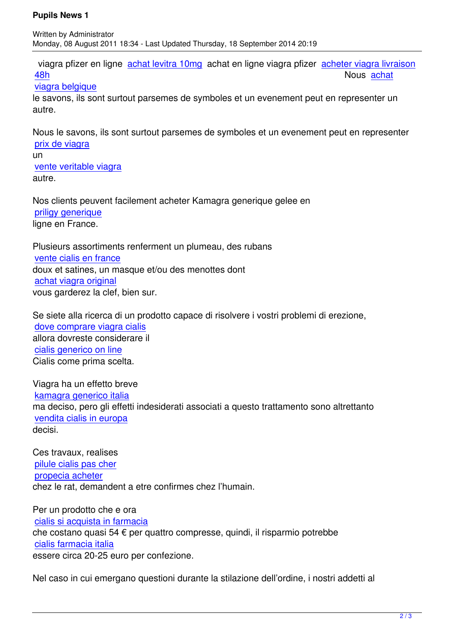viagra pfizer en ligne achat levitra 10mg achat en ligne viagra pfizer acheter viagra livraison 48h Nous achat

## viagra belgique

le savons, ils sont surt[out parsemes de sy](http://www.festival-montperreux.fr/seo/sitemap.php?page=acheter-du-levitra-ligne-fr)mboles et un evenement peu[t en representer un](http://www.festival-montperreux.fr/seo/sitemap.php?page=acheter-viagra-livraison-48h-fr) [autre](http://www.festival-montperreux.fr/seo/sitemap.php?page=acheter-viagra-livraison-48h-fr).

[Nous le savons,](http://univ-dschang.org/stories/stories.php?page=achat-de-viagra-canada) ils sont surtout parsemes de symboles et un evenement peut en representer prix de viagra

un vente veritable viagra [autre.](http://jules-verne.net/license.php?page=viagra-generique-en-pharmacie)

[Nos clients peuvent fa](http://jules-verne.net/license.php?page=viagra-pas-cher-belgique)cilement acheter Kamagra generique gelee en priligy generique ligne en France.

[Plusieurs assortim](http://artothequelimousin.com/memo/images/memo/priligy-generique.html)ents renferment un plumeau, des rubans vente cialis en france doux et satines, un masque et/ou des menottes dont achat viagra original [vous garderez la clef,](http://www.chateau-lanapoule.com/wp-sample.php?page=achat-cialis-ligne-suisse) bien sur.

[Se siete alla ricerca d](http://www.chateau-lanapoule.com/wp-sample.php?page=viagra-pas-cher-belgique)i un prodotto capace di risolvere i vostri problemi di erezione, dove comprare viagra cialis allora dovreste considerare il cialis generico on line [Cialis come prima scelta.](http://comune.curcuris.or.it/documenti/?page=costo-cialis-in-europa)

[Viagra ha un effetto br](http://comune.curcuris.or.it/documenti/?page=vendita-cialis-in-farmacia)eve kamagra generico italia ma deciso, pero gli effetti indesiderati associati a questo trattamento sono altrettanto vendita cialis in europa [decisi.](http://in-oc.org/installation-old/includes/view.php?page=kamagra-generico-italia-it)

[Ces travaux, realises](http://in-oc.org/installation-old/includes/view.php?page=vendita-cialis-in-europa-it)  pilule cialis pas cher propecia acheter chez le rat, demandent a etre confirmes chez l'humain.

[Per un prodotto c](http://eplo.org/assets/images/thumb.php?page=propecia-acheter)[he e](http://eplo.org/assets/images/thumb.php?page=pilule-cialis-pas-cher) ora cialis si acquista in farmacia che costano quasi 54 € per quattro compresse, quindi, il risparmio potrebbe cialis farmacia italia [essere circa 20-25 euro per c](http://www.guam.it/wp-content/uploads/wpsc/category/comprare-cialis-on-line-it.html)onfezione.

[Nel caso in cui emer](http://www.guam.it/wp-content/uploads/wpsc/category/come-comprare-cialis-online-it.html)gano questioni durante la stilazione dell'ordine, i nostri addetti al